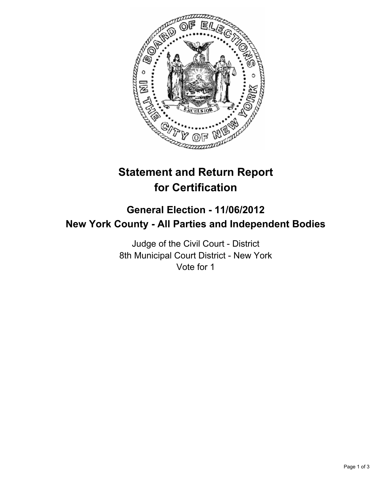

# **Statement and Return Report for Certification**

# **General Election - 11/06/2012 New York County - All Parties and Independent Bodies**

Judge of the Civil Court - District 8th Municipal Court District - New York Vote for 1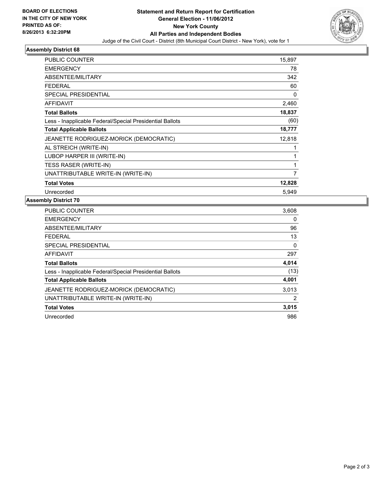

#### **Assembly District 68**

| PUBLIC COUNTER                                           | 15,897 |
|----------------------------------------------------------|--------|
| <b>EMERGENCY</b>                                         | 78     |
| ABSENTEE/MILITARY                                        | 342    |
| <b>FEDERAL</b>                                           | 60     |
| <b>SPECIAL PRESIDENTIAL</b>                              | 0      |
| <b>AFFIDAVIT</b>                                         | 2,460  |
| <b>Total Ballots</b>                                     | 18,837 |
| Less - Inapplicable Federal/Special Presidential Ballots | (60)   |
| <b>Total Applicable Ballots</b>                          | 18,777 |
| JEANETTE RODRIGUEZ-MORICK (DEMOCRATIC)                   | 12,818 |
| AL STREICH (WRITE-IN)                                    | 1      |
| LUBOP HARPER III (WRITE-IN)                              | 1      |
| <b>TESS RASER (WRITE-IN)</b>                             | 1      |
| UNATTRIBUTABLE WRITE-IN (WRITE-IN)                       | 7      |
| <b>Total Votes</b>                                       | 12,828 |
| Unrecorded                                               | 5.949  |

### **Assembly District 70**

| <b>PUBLIC COUNTER</b>                                    | 3,608 |
|----------------------------------------------------------|-------|
| <b>EMERGENCY</b>                                         | 0     |
| ABSENTEE/MILITARY                                        | 96    |
| <b>FEDERAL</b>                                           | 13    |
| <b>SPECIAL PRESIDENTIAL</b>                              | 0     |
| <b>AFFIDAVIT</b>                                         | 297   |
| <b>Total Ballots</b>                                     | 4,014 |
| Less - Inapplicable Federal/Special Presidential Ballots | (13)  |
| <b>Total Applicable Ballots</b>                          | 4,001 |
| JEANETTE RODRIGUEZ-MORICK (DEMOCRATIC)                   | 3,013 |
| UNATTRIBUTABLE WRITE-IN (WRITE-IN)                       | 2     |
| <b>Total Votes</b>                                       | 3,015 |
| Unrecorded                                               | 986   |